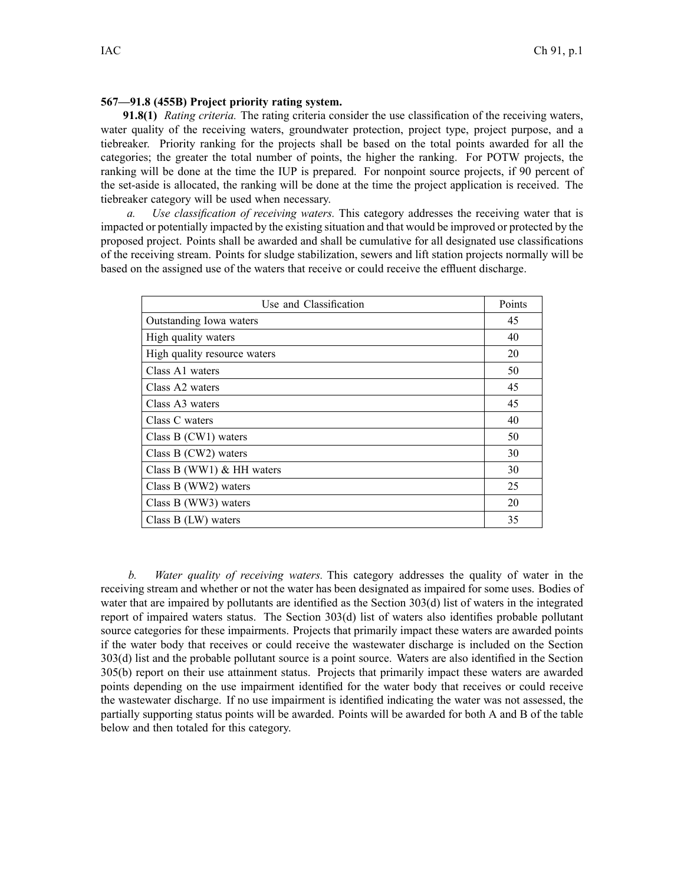## **567—91.8 (455B) Project priority rating system.**

**91.8(1)** *Rating criteria.* The rating criteria consider the use classification of the receiving waters, water quality of the receiving waters, groundwater protection, project type, project purpose, and <sup>a</sup> tiebreaker. Priority ranking for the projects shall be based on the total points awarded for all the categories; the greater the total number of points, the higher the ranking. For POTW projects, the ranking will be done at the time the IUP is prepared. For nonpoint source projects, if 90 percen<sup>t</sup> of the set-aside is allocated, the ranking will be done at the time the project application is received. The tiebreaker category will be used when necessary.

*a. Use classification of receiving waters.* This category addresses the receiving water that is impacted or potentially impacted by the existing situation and that would be improved or protected by the proposed project. Points shall be awarded and shall be cumulative for all designated use classifications of the receiving stream. Points for sludge stabilization, sewers and lift station projects normally will be based on the assigned use of the waters that receive or could receive the effluent discharge.

| Use and Classification       | Points |
|------------------------------|--------|
| Outstanding Iowa waters      | 45     |
| High quality waters          | 40     |
| High quality resource waters | 20     |
| Class A1 waters              | 50     |
| Class A2 waters              | 45     |
| Class A3 waters              | 45     |
| Class C waters               | 40     |
| Class $B(CW1)$ waters        | 50     |
| Class $B(CW2)$ waters        | 30     |
| Class B (WW1) $&$ HH waters  | 30     |
| Class B (WW2) waters         | 25     |
| Class B (WW3) waters         | 20     |
| Class $B$ (LW) waters        | 35     |

*b. Water quality of receiving waters.* This category addresses the quality of water in the receiving stream and whether or not the water has been designated as impaired for some uses. Bodies of water that are impaired by pollutants are identified as the Section 303(d) list of waters in the integrated repor<sup>t</sup> of impaired waters status. The Section 303(d) list of waters also identifies probable pollutant source categories for these impairments. Projects that primarily impact these waters are awarded points if the water body that receives or could receive the wastewater discharge is included on the Section 303(d) list and the probable pollutant source is <sup>a</sup> point source. Waters are also identified in the Section 305(b) repor<sup>t</sup> on their use attainment status. Projects that primarily impact these waters are awarded points depending on the use impairment identified for the water body that receives or could receive the wastewater discharge. If no use impairment is identified indicating the water was not assessed, the partially supporting status points will be awarded. Points will be awarded for both A and B of the table below and then totaled for this category.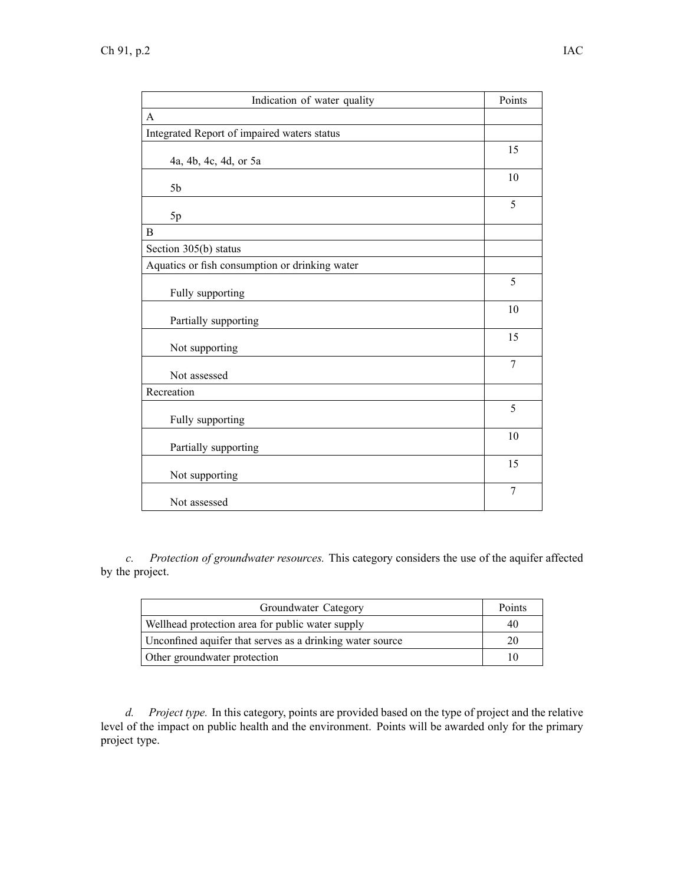| Indication of water quality                    | Points         |
|------------------------------------------------|----------------|
| A                                              |                |
| Integrated Report of impaired waters status    |                |
| 4a, 4b, 4c, 4d, or 5a                          | 15             |
| 5 <sub>b</sub>                                 | 10             |
| 5p                                             | 5              |
| B                                              |                |
| Section 305(b) status                          |                |
| Aquatics or fish consumption or drinking water |                |
| Fully supporting                               | 5              |
| Partially supporting                           | 10             |
| Not supporting                                 | 15             |
| Not assessed                                   | $\overline{7}$ |
| Recreation                                     |                |
| Fully supporting                               | 5              |
| Partially supporting                           | 10             |
| Not supporting                                 | 15             |
| Not assessed                                   | 7              |

*c. Protection of groundwater resources.* This category considers the use of the aquifer affected by the project.

| Groundwater Category                                      | Points |
|-----------------------------------------------------------|--------|
| Wellhead protection area for public water supply          | 40     |
| Unconfined aquifer that serves as a drinking water source | 20     |
| Other groundwater protection                              |        |

*d. Project type.* In this category, points are provided based on the type of project and the relative level of the impact on public health and the environment. Points will be awarded only for the primary project type.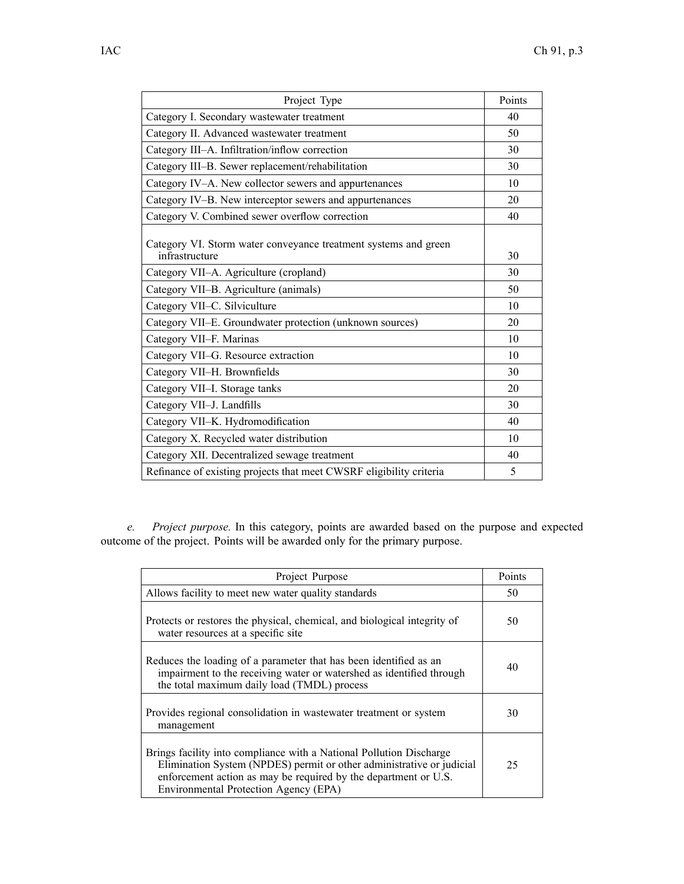| Project Type                                                                      | Points |
|-----------------------------------------------------------------------------------|--------|
| Category I. Secondary wastewater treatment                                        | 40     |
| Category II. Advanced wastewater treatment                                        | 50     |
| Category III-A. Infiltration/inflow correction                                    | 30     |
| Category III-B. Sewer replacement/rehabilitation                                  | 30     |
| Category IV-A. New collector sewers and appurtenances                             | 10     |
| Category IV-B. New interceptor sewers and appurtenances                           | 20     |
| Category V. Combined sewer overflow correction                                    | 40     |
| Category VI. Storm water conveyance treatment systems and green<br>infrastructure | 30     |
| Category VII-A. Agriculture (cropland)                                            | 30     |
| Category VII-B. Agriculture (animals)                                             | 50     |
| Category VII-C. Silviculture                                                      | 10     |
| Category VII-E. Groundwater protection (unknown sources)                          | 20     |
| Category VII-F. Marinas                                                           | 10     |
| Category VII-G. Resource extraction                                               | 10     |
| Category VII-H. Brownfields                                                       | 30     |
| Category VII-I. Storage tanks                                                     | 20     |
| Category VII-J. Landfills                                                         | 30     |
| Category VII-K. Hydromodification                                                 | 40     |
| Category X. Recycled water distribution                                           | 10     |
| Category XII. Decentralized sewage treatment                                      | 40     |
| Refinance of existing projects that meet CWSRF eligibility criteria               | 5      |
|                                                                                   |        |

*e. Project purpose.* In this category, points are awarded based on the purpose and expected outcome of the project. Points will be awarded only for the primary purpose.

| Project Purpose                                                                                                                                                                                                                                          | Points |
|----------------------------------------------------------------------------------------------------------------------------------------------------------------------------------------------------------------------------------------------------------|--------|
| Allows facility to meet new water quality standards                                                                                                                                                                                                      | 50     |
| Protects or restores the physical, chemical, and biological integrity of<br>water resources at a specific site                                                                                                                                           | 50     |
| Reduces the loading of a parameter that has been identified as an<br>impairment to the receiving water or watershed as identified through<br>the total maximum daily load (TMDL) process                                                                 | 40     |
| Provides regional consolidation in wastewater treatment or system<br>management                                                                                                                                                                          | 30     |
| Brings facility into compliance with a National Pollution Discharge<br>Elimination System (NPDES) permit or other administrative or judicial<br>enforcement action as may be required by the department or U.S.<br>Environmental Protection Agency (EPA) | 25     |